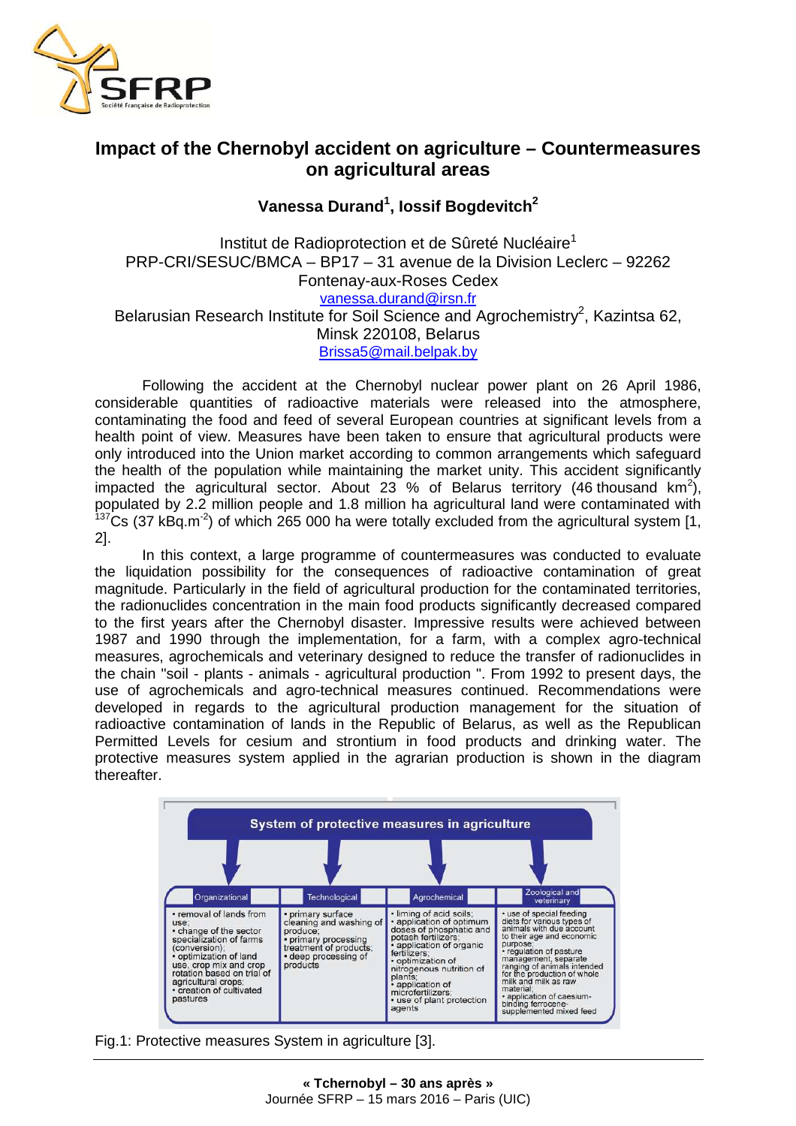

## **Impact of the Chernobyl accident on agriculture – Countermeasures on agricultural areas**

**Vanessa Durand<sup>1</sup> , Iossif Bogdevitch<sup>2</sup>**

Institut de Radioprotection et de Sûreté Nucléaire<sup>1</sup> PRP-CRI/SESUC/BMCA – BP17 – 31 avenue de la Division Leclerc – 92262 Fontenay-aux-Roses Cedex vanessa.durand@irsn.fr Belarusian Research Institute for Soil Science and Agrochemistry<sup>2</sup>, Kazintsa 62, Minsk 220108, Belarus Brissa5@mail.belpak.by

Following the accident at the Chernobyl nuclear power plant on 26 April 1986, considerable quantities of radioactive materials were released into the atmosphere, contaminating the food and feed of several European countries at significant levels from a health point of view. Measures have been taken to ensure that agricultural products were only introduced into the Union market according to common arrangements which safeguard the health of the population while maintaining the market unity. This accident significantly impacted the agricultural sector. About 23 % of Belarus territory (46 thousand km<sup>2</sup>), populated by 2.2 million people and 1.8 million ha agricultural land were contaminated with  $137$ Cs (37 kBq.m<sup>-2</sup>) of which 265 000 ha were totally excluded from the agricultural system [1, 2].

In this context, a large programme of countermeasures was conducted to evaluate the liquidation possibility for the consequences of radioactive contamination of great magnitude. Particularly in the field of agricultural production for the contaminated territories, the radionuclides concentration in the main food products significantly decreased compared to the first years after the Chernobyl disaster. Impressive results were achieved between 1987 and 1990 through the implementation, for a farm, with a complex agro-technical measures, agrochemicals and veterinary designed to reduce the transfer of radionuclides in the chain "soil - plants - animals - agricultural production ". From 1992 to present days, the use of agrochemicals and agro-technical measures continued. Recommendations were developed in regards to the agricultural production management for the situation of radioactive contamination of lands in the Republic of Belarus, as well as the Republican Permitted Levels for cesium and strontium in food products and drinking water. The protective measures system applied in the agrarian production is shown in the diagram thereafter.



Fig.1: Protective measures System in agriculture [3].